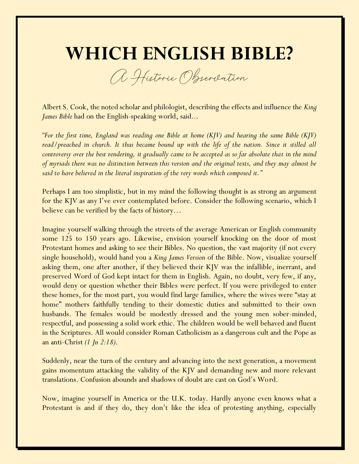## **WHICH ENGLISH BIBLE?**

A Historic Observation

Albert S. Cook, the noted scholar and philologist, describing the effects and influence the *King James Bible* had on the English-speaking world, said...

*"For the first time, England was reading one Bible at home (KJV) and hearing the same Bible (KJV) read/preached in church. It thus became bound up with the life of the nation. Since it stilled all controversy over the best rendering, it gradually came to be accepted as so far absolute that in the mind of myriads there was no distinction between this version and the original texts, and they may almost be said to have believed in the literal inspiration of the very words which composed it."*

Perhaps I am too simplistic, but in my mind the following thought is as strong an argument for the KJV as any I've ever contemplated before. Consider the following scenario, which I believe can be verified by the facts of history…

Imagine yourself walking through the streets of the average American or English community some 125 to 150 years ago. Likewise, envision yourself knocking on the door of most Protestant homes and asking to see their Bibles. No question, the vast majority (if not every single household), would hand you a *King James Version* of the Bible. Now, visualize yourself asking them, one after another, if they believed their KJV was the infallible, inerrant, and preserved Word of God kept intact for them in English. Again, no doubt, very few, if any, would deny or question whether their Bibles were perfect. If you were privileged to enter these homes, for the most part, you would find large families, where the wives were "stay at home" mothers faithfully tending to their domestic duties and submitted to their own husbands. The females would be modestly dressed and the young men sober-minded, respectful, and possessing a solid work ethic. The children would be well behaved and fluent in the Scriptures. All would consider Roman Catholicism as a dangerous cult and the Pope as an anti-Christ *(1 Jn 2:18)*.

Suddenly, near the turn of the century and advancing into the next generation, a movement gains momentum attacking the validity of the KJV and demanding new and more relevant translations. Confusion abounds and shadows of doubt are cast on God's Word.

Now, imagine yourself in America or the U.K. today. Hardly anyone even knows what a Protestant is and if they do, they don't like the idea of protesting anything, especially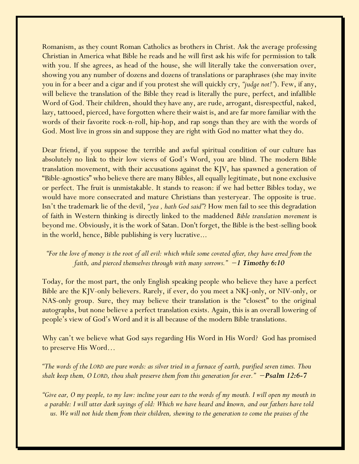Romanism, as they count Roman Catholics as brothers in Christ. Ask the average professing Christian in America what Bible he reads and he will first ask his wife for permission to talk with you. If she agrees, as head of the house, she will literally take the conversation over, showing you any number of dozens and dozens of translations or paraphrases (she may invite you in for a beer and a cigar and if you protest she will quickly cry, *"judge not!"*). Few, if any, will believe the translation of the Bible they read is literally the pure, perfect, and infallible Word of God. Their children, should they have any, are rude, arrogant, disrespectful, naked, lazy, tattooed, pierced, have forgotten where their waist is, and are far more familiar with the words of their favorite rock-n-roll, hip-hop, and rap songs than they are with the words of God. Most live in gross sin and suppose they are right with God no matter what they do.

Dear friend, if you suppose the terrible and awful spiritual condition of our culture has absolutely no link to their low views of God's Word, you are blind. The modern Bible translation movement, with their accusations against the KJV, has spawned a generation of "Bible-agnostics" who believe there are many Bibles, all equally legitimate, but none exclusive or perfect. The fruit is unmistakable. It stands to reason: if we had better Bibles today, we would have more consecrated and mature Christians than yesteryear. The opposite is true. Isn't the trademark lie of the devil, *"yea , hath God said"*? How men fail to see this degradation of faith in Western thinking is directly linked to the maddened *Bible translation movement* is beyond me. Obviously, it is the work of Satan. Don't forget, the Bible is the best-selling book in the world, hence, Bible publishing is very lucrative...

## *"For the love of money is the root of all evil: which while some coveted after, they have erred from the faith, and pierced themselves through with many sorrows." −1 Timothy 6:10*

Today, for the most part, the only English speaking people who believe they have a perfect Bible are the KJV-only believers. Rarely, if ever, do you meet a NKJ-only, or NIV-only, or NAS-only group. Sure, they may believe their translation is the "closest" to the original autographs, but none believe a perfect translation exists. Again, this is an overall lowering of people's view of God's Word and it is all because of the modern Bible translations.

Why can't we believe what God says regarding His Word in His Word? God has promised to preserve His Word…

*"The words of the LORD are pure words: as silver tried in a furnace of earth, purified seven times. Thou shalt keep them, O LORD, thou shalt preserve them from this generation for ever." −Psalm 12:6-7* 

*"Give ear, O my people, to my law: incline your ears to the words of my mouth. I will open my mouth in a parable: I will utter dark sayings of old: Which we have heard and known, and our fathers have told us. We will not hide them from their children, shewing to the generation to come the praises of the*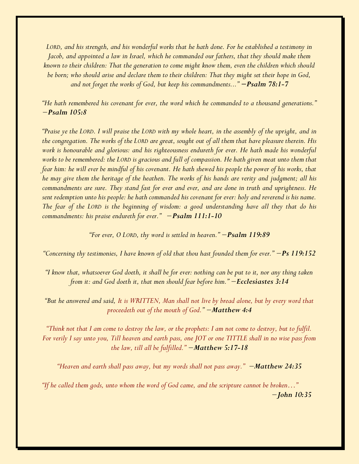*LORD, and his strength, and his wonderful works that he hath done. For he established a testimony in Jacob, and appointed a law in Israel, which he commanded our fathers, that they should make them known to their children: That the generation to come might know them, even the children which should be born; who should arise and declare them to their children: That they might set their hope in God, and not forget the works of God, but keep his commandments..." −Psalm 78:1-7*

*"He hath remembered his covenant for ever, the word which he commanded to a thousand generations." −Psalm 105:8*

*"Praise ye the LORD. I will praise the LORD with my whole heart, in the assembly of the upright, and in the congregation. The works of the LORD are great, sought out of all them that have pleasure therein. His work is honourable and glorious: and his righteousness endureth for ever. He hath made his wonderful works to be remembered: the LORD is gracious and full of compassion. He hath given meat unto them that fear him: he will ever be mindful of his covenant. He hath shewed his people the power of his works, that he may give them the heritage of the heathen. The works of his hands are verity and judgment; all his commandments are sure. They stand fast for ever and ever, and are done in truth and uprightness. He sent redemption unto his people: he hath commanded his covenant for ever: holy and reverend is his name. The fear of the LORD is the beginning of wisdom: a good understanding have all they that do his commandments: his praise endureth for ever." −Psalm 111:1-10* 

*"For ever, O LORD, thy word is settled in heaven." −Psalm 119:89*

*"Concerning thy testimonies, I have known of old that thou hast founded them for ever." −Ps 119:152*

*"I know that, whatsoever God doeth, it shall be for ever: nothing can be put to it, nor any thing taken from it: and God doeth it, that men should fear before him." −Ecclesiastes 3:14*

*"But he answered and said, It is WRITTEN, Man shall not live by bread alone, but by every word that proceedeth out of the mouth of God." −Matthew 4:4*

*"Think not that I am come to destroy the law, or the prophets: I am not come to destroy, but to fulfil. For verily I say unto you, Till heaven and earth pass, one JOT or one TITTLE shall in no wise pass from the law, till all be fulfilled." −Matthew 5:17-18*

*"Heaven and earth shall pass away, but my words shall not pass away." −Matthew 24:35*

*"If he called them gods, unto whom the word of God came, and the scripture cannot be broken…" 0000000000000000000000000000000000000000000000000000000000000−John 10:35*